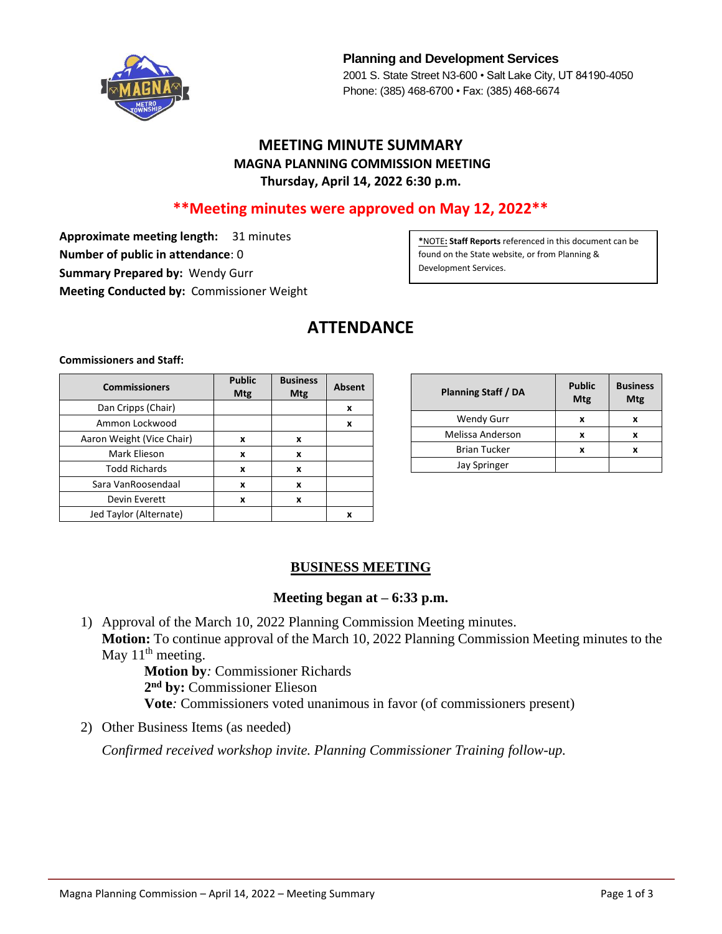

**Planning and Development Services** 2001 S. State Street N3-600 • Salt Lake City, UT 84190-4050 Phone: (385) 468-6700 • Fax: (385) 468-6674

# **MEETING MINUTE SUMMARY MAGNA PLANNING COMMISSION MEETING Thursday, April 14, 2022 6:30 p.m.**

# **\*\*Meeting minutes were approved on May 12, 2022\*\***

**Approximate meeting length:** 31 minutes **Number of public in attendance**: 0 **Summary Prepared by:** Wendy Gurr **Meeting Conducted by:** Commissioner Weight

**\***NOTE**: Staff Reports** referenced in this document can be found on the State website, or from Planning & Development Services.

# **ATTENDANCE**

**Commissioners and Staff:**

| <b>Commissioners</b>      | <b>Public</b><br><b>Mtg</b> | <b>Business</b><br><b>Mtg</b> | <b>Absent</b> |
|---------------------------|-----------------------------|-------------------------------|---------------|
| Dan Cripps (Chair)        |                             |                               | x             |
| Ammon Lockwood            |                             |                               | X             |
| Aaron Weight (Vice Chair) | x                           | x                             |               |
| Mark Elieson              | x                           | x                             |               |
| <b>Todd Richards</b>      | X                           | x                             |               |
| Sara VanRoosendaal        | x                           | x                             |               |
| Devin Everett             | x                           | x                             |               |
| Jed Taylor (Alternate)    |                             |                               | x             |

| Planning Staff / DA | <b>Public</b><br>Mtg | <b>Business</b><br>Mtg |
|---------------------|----------------------|------------------------|
| <b>Wendy Gurr</b>   | x                    | x                      |
| Melissa Anderson    | x                    | x                      |
| <b>Brian Tucker</b> | x                    |                        |
| Jay Springer        |                      |                        |

### **BUSINESS MEETING**

#### **Meeting began at – 6:33 p.m.**

1) Approval of the March 10, 2022 Planning Commission Meeting minutes. **Motion:** To continue approval of the March 10, 2022 Planning Commission Meeting minutes to the May  $11<sup>th</sup>$  meeting.

**Motion by***:* Commissioner Richards **2 nd by:** Commissioner Elieson **Vote***:* Commissioners voted unanimous in favor (of commissioners present)

2) Other Business Items (as needed)

*Confirmed received workshop invite. Planning Commissioner Training follow-up.*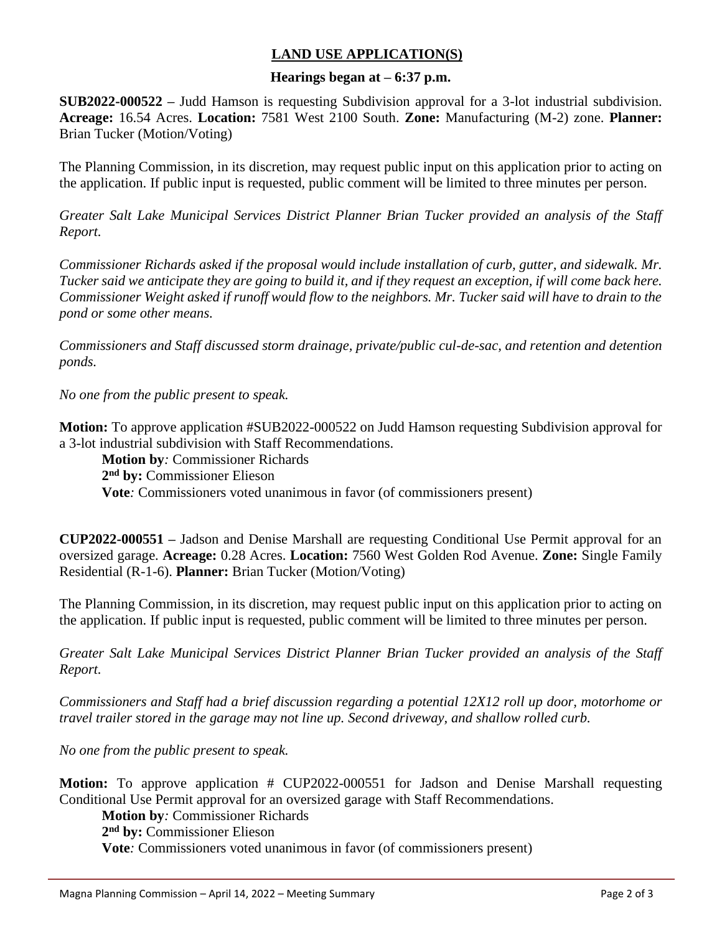# **LAND USE APPLICATION(S)**

#### **Hearings began at – 6:37 p.m.**

**SUB2022-000522 –** Judd Hamson is requesting Subdivision approval for a 3-lot industrial subdivision. **Acreage:** 16.54 Acres. **Location:** 7581 West 2100 South. **Zone:** Manufacturing (M-2) zone. **Planner:** Brian Tucker (Motion/Voting)

The Planning Commission, in its discretion, may request public input on this application prior to acting on the application. If public input is requested, public comment will be limited to three minutes per person.

*Greater Salt Lake Municipal Services District Planner Brian Tucker provided an analysis of the Staff Report.*

*Commissioner Richards asked if the proposal would include installation of curb, gutter, and sidewalk. Mr. Tucker said we anticipate they are going to build it, and if they request an exception, if will come back here. Commissioner Weight asked if runoff would flow to the neighbors. Mr. Tucker said will have to drain to the pond or some other means.* 

*Commissioners and Staff discussed storm drainage, private/public cul-de-sac, and retention and detention ponds.* 

*No one from the public present to speak.*

**Motion:** To approve application #SUB2022-000522 on Judd Hamson requesting Subdivision approval for a 3-lot industrial subdivision with Staff Recommendations.

**Motion by***:* Commissioner Richards **2 nd by:** Commissioner Elieson

**Vote***:* Commissioners voted unanimous in favor (of commissioners present)

**CUP2022-000551 –** Jadson and Denise Marshall are requesting Conditional Use Permit approval for an oversized garage. **Acreage:** 0.28 Acres. **Location:** 7560 West Golden Rod Avenue. **Zone:** Single Family Residential (R-1-6). **Planner:** Brian Tucker (Motion/Voting)

The Planning Commission, in its discretion, may request public input on this application prior to acting on the application. If public input is requested, public comment will be limited to three minutes per person.

*Greater Salt Lake Municipal Services District Planner Brian Tucker provided an analysis of the Staff Report.*

*Commissioners and Staff had a brief discussion regarding a potential 12X12 roll up door, motorhome or travel trailer stored in the garage may not line up. Second driveway, and shallow rolled curb.*

*No one from the public present to speak.*

**Motion:** To approve application # CUP2022-000551 for Jadson and Denise Marshall requesting Conditional Use Permit approval for an oversized garage with Staff Recommendations.

**Motion by***:* Commissioner Richards

**2 nd by:** Commissioner Elieson

**Vote***:* Commissioners voted unanimous in favor (of commissioners present)